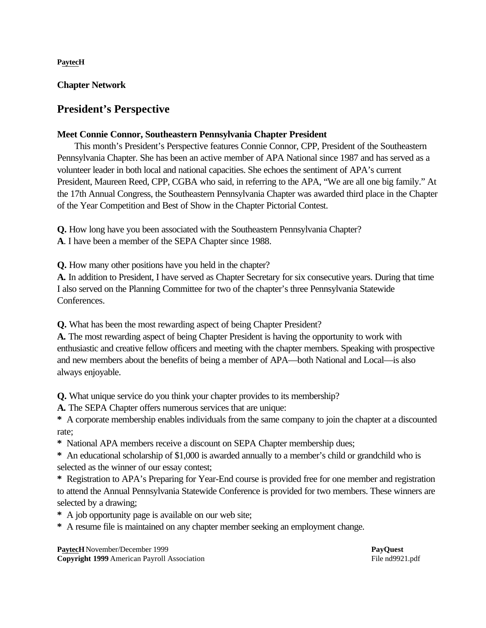**PaytecH**

**Chapter Network**

# **President's Perspective**

## **Meet Connie Connor, Southeastern Pennsylvania Chapter President**

This month's President's Perspective features Connie Connor, CPP, President of the Southeastern Pennsylvania Chapter. She has been an active member of APA National since 1987 and has served as a volunteer leader in both local and national capacities. She echoes the sentiment of APA's current President, Maureen Reed, CPP, CGBA who said, in referring to the APA, "We are all one big family." At the 17th Annual Congress, the Southeastern Pennsylvania Chapter was awarded third place in the Chapter of the Year Competition and Best of Show in the Chapter Pictorial Contest.

**Q.** How long have you been associated with the Southeastern Pennsylvania Chapter?

**A**. I have been a member of the SEPA Chapter since 1988.

**Q.** How many other positions have you held in the chapter?

**A.** In addition to President, I have served as Chapter Secretary for six consecutive years. During that time I also served on the Planning Committee for two of the chapter's three Pennsylvania Statewide Conferences.

**Q.** What has been the most rewarding aspect of being Chapter President?

**A.** The most rewarding aspect of being Chapter President is having the opportunity to work with enthusiastic and creative fellow officers and meeting with the chapter members. Speaking with prospective and new members about the benefits of being a member of APA—both National and Local—is also always enjoyable.

**Q.** What unique service do you think your chapter provides to its membership?

**A.** The SEPA Chapter offers numerous services that are unique:

**\*** A corporate membership enables individuals from the same company to join the chapter at a discounted rate;

**\*** National APA members receive a discount on SEPA Chapter membership dues;

**\*** An educational scholarship of \$1,000 is awarded annually to a member's child or grandchild who is selected as the winner of our essay contest;

**\*** Registration to APA's Preparing for Year-End course is provided free for one member and registration to attend the Annual Pennsylvania Statewide Conference is provided for two members. These winners are selected by a drawing;

**\*** A job opportunity page is available on our web site;

**\*** A resume file is maintained on any chapter member seeking an employment change.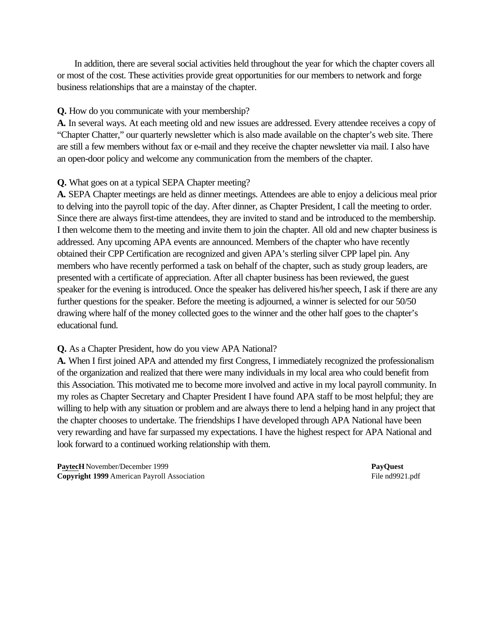In addition, there are several social activities held throughout the year for which the chapter covers all or most of the cost. These activities provide great opportunities for our members to network and forge business relationships that are a mainstay of the chapter.

#### **Q.** How do you communicate with your membership?

**A.** In several ways. At each meeting old and new issues are addressed. Every attendee receives a copy of "Chapter Chatter," our quarterly newsletter which is also made available on the chapter's web site. There are still a few members without fax or e-mail and they receive the chapter newsletter via mail. I also have an open-door policy and welcome any communication from the members of the chapter.

#### **Q.** What goes on at a typical SEPA Chapter meeting?

**A.** SEPA Chapter meetings are held as dinner meetings. Attendees are able to enjoy a delicious meal prior to delving into the payroll topic of the day. After dinner, as Chapter President, I call the meeting to order. Since there are always first-time attendees, they are invited to stand and be introduced to the membership. I then welcome them to the meeting and invite them to join the chapter. All old and new chapter business is addressed. Any upcoming APA events are announced. Members of the chapter who have recently obtained their CPP Certification are recognized and given APA's sterling silver CPP lapel pin. Any members who have recently performed a task on behalf of the chapter, such as study group leaders, are presented with a certificate of appreciation. After all chapter business has been reviewed, the guest speaker for the evening is introduced. Once the speaker has delivered his/her speech, I ask if there are any further questions for the speaker. Before the meeting is adjourned, a winner is selected for our 50/50 drawing where half of the money collected goes to the winner and the other half goes to the chapter's educational fund.

### **Q.** As a Chapter President, how do you view APA National?

**A.** When I first joined APA and attended my first Congress, I immediately recognized the professionalism of the organization and realized that there were many individuals in my local area who could benefit from this Association. This motivated me to become more involved and active in my local payroll community. In my roles as Chapter Secretary and Chapter President I have found APA staff to be most helpful; they are willing to help with any situation or problem and are always there to lend a helping hand in any project that the chapter chooses to undertake. The friendships I have developed through APA National have been very rewarding and have far surpassed my expectations. I have the highest respect for APA National and look forward to a continued working relationship with them.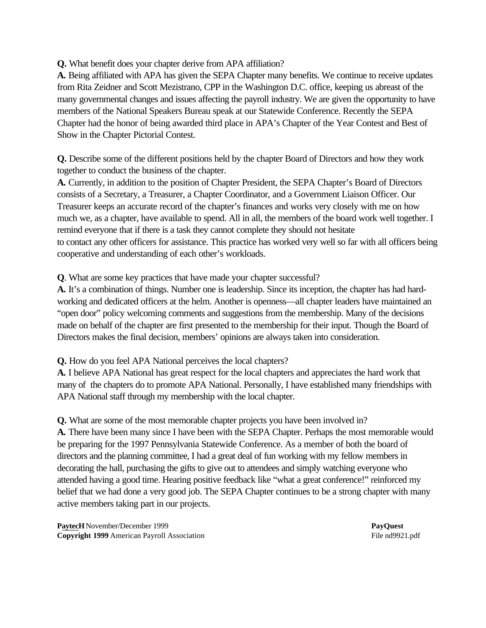**Q.** What benefit does your chapter derive from APA affiliation?

**A.** Being affiliated with APA has given the SEPA Chapter many benefits. We continue to receive updates from Rita Zeidner and Scott Mezistrano, CPP in the Washington D.C. office, keeping us abreast of the many governmental changes and issues affecting the payroll industry. We are given the opportunity to have members of the National Speakers Bureau speak at our Statewide Conference. Recently the SEPA Chapter had the honor of being awarded third place in APA's Chapter of the Year Contest and Best of Show in the Chapter Pictorial Contest.

**Q.** Describe some of the different positions held by the chapter Board of Directors and how they work together to conduct the business of the chapter.

**A.** Currently, in addition to the position of Chapter President, the SEPA Chapter's Board of Directors consists of a Secretary, a Treasurer, a Chapter Coordinator, and a Government Liaison Officer. Our Treasurer keeps an accurate record of the chapter's finances and works very closely with me on how much we, as a chapter, have available to spend. All in all, the members of the board work well together. I remind everyone that if there is a task they cannot complete they should not hesitate to contact any other officers for assistance. This practice has worked very well so far with all officers being cooperative and understanding of each other's workloads.

**Q**. What are some key practices that have made your chapter successful?

**A.** It's a combination of things. Number one is leadership. Since its inception, the chapter has had hardworking and dedicated officers at the helm. Another is openness—all chapter leaders have maintained an "open door" policy welcoming comments and suggestions from the membership. Many of the decisions made on behalf of the chapter are first presented to the membership for their input. Though the Board of Directors makes the final decision, members' opinions are always taken into consideration.

**Q.** How do you feel APA National perceives the local chapters?

**A.** I believe APA National has great respect for the local chapters and appreciates the hard work that many of the chapters do to promote APA National. Personally, I have established many friendships with APA National staff through my membership with the local chapter.

**Q.** What are some of the most memorable chapter projects you have been involved in? **A.** There have been many since I have been with the SEPA Chapter. Perhaps the most memorable would be preparing for the 1997 Pennsylvania Statewide Conference. As a member of both the board of directors and the planning committee, I had a great deal of fun working with my fellow members in decorating the hall, purchasing the gifts to give out to attendees and simply watching everyone who attended having a good time. Hearing positive feedback like "what a great conference!" reinforced my belief that we had done a very good job. The SEPA Chapter continues to be a strong chapter with many active members taking part in our projects.